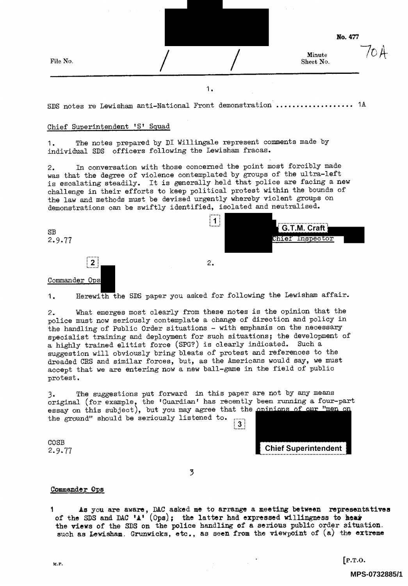|  | I |
|--|---|
|--|---|

No. 477

/O A

Minute Sheet No.

1.

SDS notes re Lewisham anti-National Front demonstration  $\ldots \ldots \ldots \ldots \ldots$  1A

## Chief Superintendent 'S' Squad

<sup>1</sup>. The notes prepared by DI Willingale represent comments made by individual SDS officers following the Lewisham fracas.

<sup>2</sup>. In conversation with those concerned the point most forcibly made <sup>w</sup>as that the degree of violence contemplated by groups of the ultra-left <sup>i</sup>s escalating steadily. It is generally held that police are facing a new <sup>c</sup>hallenge in their efforts to keep political protest within the bounds of <sup>t</sup>he law and methods must be devised urgently whereby violent groups on <sup>d</sup>emonstrations can be swiftly identified, isolated and neutralised.





1. Herewith the SDS paper you asked for following the Lewisham affair.

<sup>2</sup>. What emerges most clearly from these notes is the opinion that the <sup>p</sup>olice must now seriously contemplate a change of direction and policy in <sup>t</sup>he handling of Public Order situations - with emphasis on the necessary <sup>s</sup>pecialist training and deployment for such situations; the development of <sup>a</sup> highly trained elitist force (SPG?) is clearly indicated. Such <sup>a</sup> <sup>s</sup>uggestion will obviously bring bleats of protest and references to the dreaded CRS and similar forces, but, as the Americans would say, we must <sup>a</sup>ccept that we are entering now a new ball-game in the field of public protest.

3. The suggestions put forward In this paper are not by any means <sup>o</sup>riginal (for example, the 'Guardian' has recently been running a four-part essay on this subject), but you may agree that the opinions of our " <sup>t</sup>he ground" should be seriously listened to. |<br>|<br>| 3!

Chief Superintendent

COSB 2.9.77

3

## Commander Ops

1As you are aware, DAC asked me to arrange a meeting between representatives of the SDS and DAC 'A' (Ops): the latter had expressed willingness to hear <sup>t</sup>he views of the SDS on the police handling of a serious public order situation. such as Lewisham, Grunwicks, etc., as seen from the viewpoint of  $(a)$  the extreme